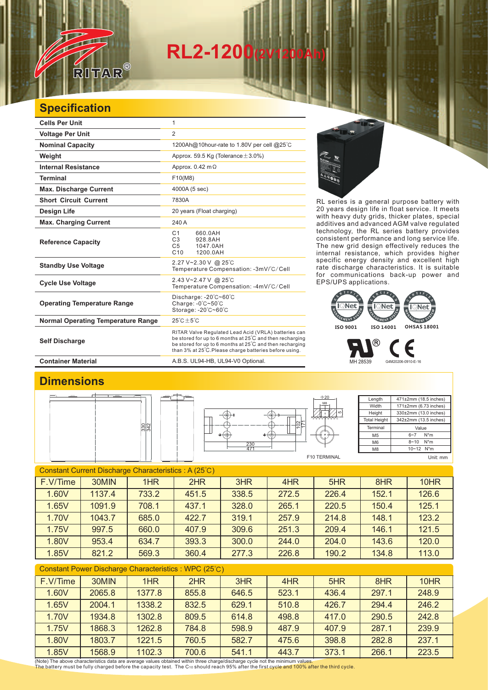# **RL2-120**

### **Specification**

RITAR

 $^{\circledR}$ 

| <b>Cells Per Unit</b>                     | 1                                                                                                                                                                                                                                      |  |  |  |
|-------------------------------------------|----------------------------------------------------------------------------------------------------------------------------------------------------------------------------------------------------------------------------------------|--|--|--|
| <b>Voltage Per Unit</b>                   | 2                                                                                                                                                                                                                                      |  |  |  |
| <b>Nominal Capacity</b>                   | 1200Ah@10hour-rate to 1.80V per cell @25°C                                                                                                                                                                                             |  |  |  |
| Weight                                    | Approx. 59.5 Kg (Tolerance $\pm$ 3.0%)                                                                                                                                                                                                 |  |  |  |
| <b>Internal Resistance</b>                | Approx. $0.42 \text{ m}\Omega$                                                                                                                                                                                                         |  |  |  |
| <b>Terminal</b>                           | F10(M8)                                                                                                                                                                                                                                |  |  |  |
| <b>Max. Discharge Current</b>             | 4000A (5 sec)                                                                                                                                                                                                                          |  |  |  |
| <b>Short Circuit Current</b>              | 7830A                                                                                                                                                                                                                                  |  |  |  |
| Design Life                               | 20 years (Float charging)                                                                                                                                                                                                              |  |  |  |
| <b>Max. Charging Current</b>              | 240 A                                                                                                                                                                                                                                  |  |  |  |
| <b>Reference Capacity</b>                 | C <sub>1</sub><br>660.0AH<br>C3<br>928.8AH<br>C <sub>5</sub><br>1047.0AH<br>C <sub>10</sub><br>1200.0AH                                                                                                                                |  |  |  |
| <b>Standby Use Voltage</b>                | 2.27 V~2.30 V @ 25°C<br>Temperature Compensation: -3mV/°C/Cell                                                                                                                                                                         |  |  |  |
| <b>Cycle Use Voltage</b>                  | 2.43 V~2.47 V @ 25°C<br>Temperature Compensation: -4mV/°C/Cell                                                                                                                                                                         |  |  |  |
| <b>Operating Temperature Range</b>        | Discharge: $-20^{\circ}$ C $-60^{\circ}$ C<br>Charge: $-0^\circ$ C $-50^\circ$ C<br>Storage: -20°C~60°C                                                                                                                                |  |  |  |
| <b>Normal Operating Temperature Range</b> | $25^{\circ}$ C + $5^{\circ}$ C                                                                                                                                                                                                         |  |  |  |
| <b>Self Discharge</b>                     | RITAR Valve Regulated Lead Acid (VRLA) batteries can<br>be stored for up to 6 months at 25°C and then recharging<br>be stored for up to 6 months at 25°C and then recharging<br>than 3% at 25°C. Please charge batteries before using. |  |  |  |

E.R.

RL series is a general purpose battery with 20 years design life in float service. It meets with heavy duty grids, thicker plates, special additives and advanced AGM valve regulated technology, the RL series battery provides consistent performance and long service life. The new grid design effectively reduces the internal resistance, which provides higher specific energy density and excellent high rate discharge characteristics. It is suitable for communications back-up power and EPS/UPS applications.



MH 28539 G4M20206-0910-E-16

#### **Container Material Container Material A.B.S. UL94-HB, UL94-V0 Optional.**

### **Dimensions**





Length **Width Height** Total Height 471±2mm (18.5 inches) 171±2mm (6.73 inches) 330±2mm (13.0 inches) 342±2mm (13.5 inches) Terminal M5 M6  $\overline{M8}$ Value 6~7 N\*m 8~10 N\*m  $10~12$  N<sup>\*</sup>m

F10 TERMINAL

55

Unit: mm

| <b>Constant Current Discharge Characteristics: A (25°C)</b> |        |       |       |       |       |       |       |       |
|-------------------------------------------------------------|--------|-------|-------|-------|-------|-------|-------|-------|
| F.V/Time                                                    | 30MIN  | 1HR   | 2HR   | 3HR   | 4HR   | 5HR   | 8HR   | 10HR  |
| 1.60V                                                       | 1137.4 | 733.2 | 451.5 | 338.5 | 272.5 | 226.4 | 152.1 | 126.6 |
| 1.65V                                                       | 1091.9 | 708.1 | 437.1 | 328.0 | 265.1 | 220.5 | 150.4 | 125.1 |
| 1.70V                                                       | 1043.7 | 685.0 | 422.7 | 319.1 | 257.9 | 214.8 | 148.1 | 123.2 |
| 1.75V                                                       | 997.5  | 660.0 | 407.9 | 309.6 | 251.3 | 209.4 | 146.1 | 121.5 |
| 1.80V                                                       | 953.4  | 634.7 | 393.3 | 300.0 | 244.0 | 204.0 | 143.6 | 120.0 |
| 1.85V                                                       | 821.2  | 569.3 | 360.4 | 277.3 | 226.8 | 190.2 | 134.8 | 113.0 |
|                                                             |        |       |       |       |       |       |       |       |

| F.V/Time | 30MIN  | 1HR    | 2HR   | 3HR   | 4HR   | 5HR   | 8HR   | 10HR  |
|----------|--------|--------|-------|-------|-------|-------|-------|-------|
| 1.60V    | 2065.8 | 1377.8 | 855.8 | 646.5 | 523.1 | 436.4 | 297.1 | 248.9 |
| 1.65V    | 2004.1 | 1338.2 | 832.5 | 629.1 | 510.8 | 426.7 | 294.4 | 246.2 |
| 1.70V    | 1934.8 | 1302.8 | 809.5 | 614.8 | 498.8 | 417.0 | 290.5 | 242.8 |
| 1.75V    | 1868.3 | 1262.8 | 784.8 | 598.9 | 487.9 | 407.9 | 287.1 | 239.9 |
| 1.80V    | 1803.7 | 1221.5 | 760.5 | 582.7 | 475.6 | 398.8 | 282.8 | 237.1 |
| 1.85V    | 1568.9 | 1102.3 | 700.6 | 541.1 | 443.7 | 373.1 | 266.1 | 223.5 |

(Note) The above characteristics data are average values obtained within three charge/discharge cycle not the minimum values.<br>The battery must be fully charged before the capacity test. The C10 should reach 95% after the